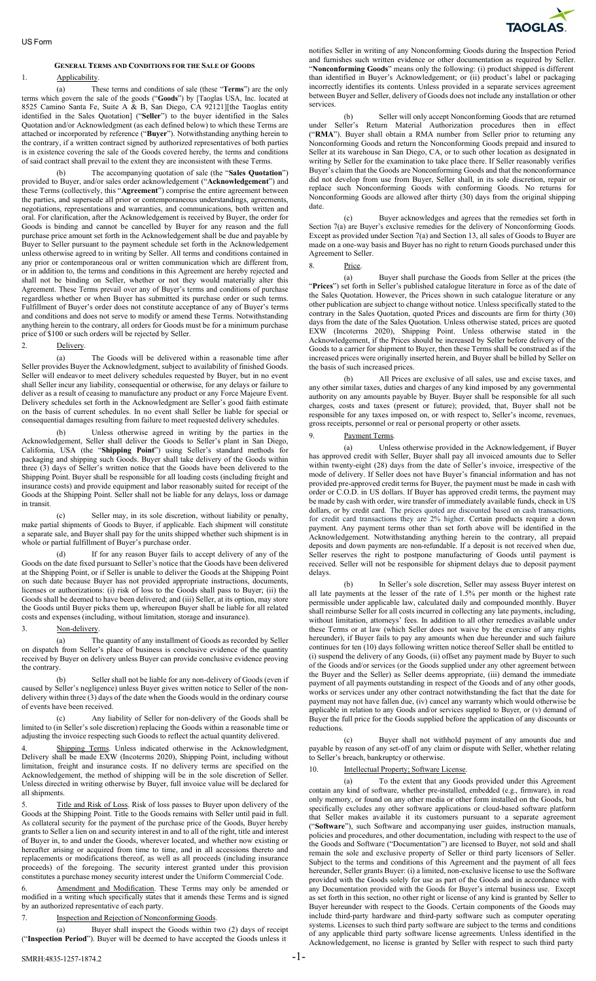### US Form

# **GENERAL TERMS AND CONDITIONS FOR THE SALE OF GOODS** 1. Applicability.

(a) These terms and conditions of sale (these "**Terms**") are the only terms which govern the sale of the goods ("**Goods**") by [Taoglas USA, Inc. located at 8525 Camino Santa Fe, Suite A & B, San Diego, CA 92121][the Taoglas entity identified in the Sales Quotation] ("**Seller**") to the buyer identified in the Sales Quotation and/or Acknowledgment (as each defined below) to which these Terms are attached or incorporated by reference ("**Buyer**"). Notwithstanding anything herein to the contrary, if a written contract signed by authorized representatives of both parties is in existence covering the sale of the Goods covered hereby, the terms and conditions of said contract shall prevail to the extent they are inconsistent with these Terms.

(b) The accompanying quotation of sale (the "**Sales Quotation**") provided to Buyer, and/or sales order acknowledgement ("**Acknowledgement**") and these Terms (collectively, this "**Agreement**") comprise the entire agreement between the parties, and supersede all prior or contemporaneous understandings, agreements, negotiations, representations and warranties, and communications, both written and oral. For clarification, after the Acknowledgement is received by Buyer, the order for Goods is binding and cannot be cancelled by Buyer for any reason and the full purchase price amount set forth in the Acknowledgement shall be due and payable by Buyer to Seller pursuant to the payment schedule set forth in the Acknowledgement unless otherwise agreed to in writing by Seller. All terms and conditions contained in any prior or contemporaneous oral or written communication which are different from, or in addition to, the terms and conditions in this Agreement are hereby rejected and shall not be binding on Seller, whether or not they would materially alter this Agreement. These Terms prevail over any of Buyer's terms and conditions of purchase regardless whether or when Buyer has submitted its purchase order or such terms. Fulfillment of Buyer's order does not constitute acceptance of any of Buyer's terms and conditions and does not serve to modify or amend these Terms. Notwithstanding anything herein to the contrary, all orders for Goods must be for a minimum purchase price of \$100 or such orders will be rejected by Seller.

## 2. Delivery.

(a) The Goods will be delivered within a reasonable time after Seller provides Buyer the Acknowledgment, subject to availability of finished Goods. Seller will endeavor to meet delivery schedules requested by Buyer, but in no event shall Seller incur any liability, consequential or otherwise, for any delays or failure to deliver as a result of ceasing to manufacture any product or any Force Majeure Event. Delivery schedules set forth in the Acknowledgment are Seller's good faith estimate on the basis of current schedules. In no event shall Seller be liable for special or consequential damages resulting from failure to meet requested delivery schedules.

(b) Unless otherwise agreed in writing by the parties in the Acknowledgement, Seller shall deliver the Goods to Seller's plant in San Diego, California, USA (the "**Shipping Point**") using Seller's standard methods for packaging and shipping such Goods. Buyer shall take delivery of the Goods within three (3) days of Seller's written notice that the Goods have been delivered to the Shipping Point. Buyer shall be responsible for all loading costs (including freight and insurance costs) and provide equipment and labor reasonably suited for receipt of the Goods at the Shipping Point. Seller shall not be liable for any delays, loss or damage in transit.

(c) Seller may, in its sole discretion, without liability or penalty, make partial shipments of Goods to Buyer, if applicable. Each shipment will constitute a separate sale, and Buyer shall pay for the units shipped whether such shipment is in whole or partial fulfillment of Buyer's purchase order.

(d) If for any reason Buyer fails to accept delivery of any of the Goods on the date fixed pursuant to Seller's notice that the Goods have been delivered at the Shipping Point, or if Seller is unable to deliver the Goods at the Shipping Point on such date because Buyer has not provided appropriate instructions, documents, licenses or authorizations: (i) risk of loss to the Goods shall pass to Buyer; (ii) the Goods shall be deemed to have been delivered; and (iii) Seller, at its option, may store the Goods until Buyer picks them up, whereupon Buyer shall be liable for all related costs and expenses (including, without limitation, storage and insurance).

### 3. Non-delivery.

(a) The quantity of any installment of Goods as recorded by Seller on dispatch from Seller's place of business is conclusive evidence of the quantity received by Buyer on delivery unless Buyer can provide conclusive evidence proving the contrary.

(b) Seller shall not be liable for any non-delivery of Goods (even if caused by Seller's negligence) unless Buyer gives written notice to Seller of the nondelivery within three (3) days of the date when the Goods would in the ordinary course of events have been received.

(c) Any liability of Seller for non-delivery of the Goods shall be limited to (in Seller's sole discretion) replacing the Goods within a reasonable time or adjusting the invoice respecting such Goods to reflect the actual quantity delivered.

4. Shipping Terms. Unless indicated otherwise in the Acknowledgment, Delivery shall be made EXW (Incoterms 2020), Shipping Point, including without limitation, freight and insurance costs. If no delivery terms are specified on the Acknowledgement, the method of shipping will be in the sole discretion of Seller. Unless directed in writing otherwise by Buyer, full invoice value will be declared for all shipments.

Title and Risk of Loss. Risk of loss passes to Buyer upon delivery of the Goods at the Shipping Point. Title to the Goods remains with Seller until paid in full. As collateral security for the payment of the purchase price of the Goods, Buyer hereby grants to Seller a lien on and security interest in and to all of the right, title and interest of Buyer in, to and under the Goods, wherever located, and whether now existing or hereafter arising or acquired from time to time, and in all accessions thereto and replacements or modifications thereof, as well as all proceeds (including insurance proceeds) of the foregoing. The security interest granted under this provision constitutes a purchase money security interest under the Uniform Commercial Code.

6. Amendment and Modification. These Terms may only be amended or modified in a writing which specifically states that it amends these Terms and is signed by an authorized representative of each party.

## 7. Inspection and Rejection of Nonconforming Goods.

(a) Buyer shall inspect the Goods within two (2) days of receipt ("**Inspection Period**"). Buyer will be deemed to have accepted the Goods unless it



notifies Seller in writing of any Nonconforming Goods during the Inspection Period and furnishes such written evidence or other documentation as required by Seller. "**Nonconforming Goods**" means only the following: (i) product shipped is different than identified in Buyer's Acknowledgement; or (ii) product's label or packaging incorrectly identifies its contents. Unless provided in a separate services agreement between Buyer and Seller, delivery of Goods does not include any installation or other services.

(b) Seller will only accept Nonconforming Goods that are returned under Seller's Return Material Authorization procedures then in effect ("**RMA**"). Buyer shall obtain a RMA number from Seller prior to returning any Nonconforming Goods and return the Nonconforming Goods prepaid and insured to Seller at its warehouse in San Diego, CA, or to such other location as designated in writing by Seller for the examination to take place there. If Seller reasonably verifies Buyer's claim that the Goods are Nonconforming Goods and that the nonconformance did not develop from use from Buyer, Seller shall, in its sole discretion, repair or replace such Nonconforming Goods with conforming Goods. No returns for Nonconforming Goods are allowed after thirty (30) days from the original shipping date.

(c) Buyer acknowledges and agrees that the remedies set forth in Section 7(a) are Buyer's exclusive remedies for the delivery of Nonconforming Goods. Except as provided under Section 7(a) and Section 13, all sales of Goods to Buyer are made on a one-way basis and Buyer has no right to return Goods purchased under this Agreement to Seller.

# 8. Price.

(a) Buyer shall purchase the Goods from Seller at the prices (the "**Prices**") set forth in Seller's published catalogue literature in force as of the date of the Sales Quotation. However, the Prices shown in such catalogue literature or any other publication are subject to change without notice. Unless specifically stated to the contrary in the Sales Quotation, quoted Prices and discounts are firm for thirty (30) days from the date of the Sales Quotation. Unless otherwise stated, prices are quoted EXW (Incoterms 2020), Shipping Point. Unless otherwise stated in the Acknowledgement, if the Prices should be increased by Seller before delivery of the Goods to a carrier for shipment to Buyer, then these Terms shall be construed as if the increased prices were originally inserted herein, and Buyer shall be billed by Seller on the basis of such increased prices.

(b) All Prices are exclusive of all sales, use and excise taxes, and any other similar taxes, duties and charges of any kind imposed by any governmental authority on any amounts payable by Buyer. Buyer shall be responsible for all such charges, costs and taxes (present or future); provided, that, Buyer shall not be responsible for any taxes imposed on, or with respect to, Seller's income, revenues, gross receipts, personnel or real or personal property or other assets.

## Payment Terms.

(a) Unless otherwise provided in the Acknowledgement, if Buyer has approved credit with Seller, Buyer shall pay all invoiced amounts due to Seller within twenty-eight (28) days from the date of Seller's invoice, irrespective of the mode of delivery. If Seller does not have Buyer's financial information and has not provided pre-approved credit terms for Buyer, the payment must be made in cash with order or C.O.D. in US dollars. If Buyer has approved credit terms, the payment may be made by cash with order, wire transfer of immediately available funds, check in US dollars, or by credit card. The prices quoted are discounted based on cash transactions, for credit card transactions they are 2% higher. Certain products require a down payment. Any payment terms other than set forth above will be identified in the Acknowledgement. Notwithstanding anything herein to the contrary, all prepaid deposits and down payments are non-refundable. If a deposit is not received when due, Seller reserves the right to postpone manufacturing of Goods until payment is received. Seller will not be responsible for shipment delays due to deposit payment delays.

(b) In Seller's sole discretion, Seller may assess Buyer interest on all late payments at the lesser of the rate of 1.5% per month or the highest rate permissible under applicable law, calculated daily and compounded monthly. Buyer shall reimburse Seller for all costs incurred in collecting any late payments, including, without limitation, attorneys' fees. In addition to all other remedies available under these Terms or at law (which Seller does not waive by the exercise of any rights hereunder), if Buyer fails to pay any amounts when due hereunder and such failure continues for ten (10) days following written notice thereof Seller shall be entitled to (i) suspend the delivery of any Goods, (ii) offset any payment made by Buyer to such of the Goods and/or services (or the Goods supplied under any other agreement between the Buyer and the Seller) as Seller deems appropriate, (iii) demand the immediate payment of all payments outstanding in respect of the Goods and of any other goods, works or services under any other contract notwithstanding the fact that the date for payment may not have fallen due, (iv) cancel any warranty which would otherwise be applicable in relation to any Goods and/or services supplied to Buyer, or (v) demand of Buyer the full price for the Goods supplied before the application of any discounts or reductions.

(c) Buyer shall not withhold payment of any amounts due and payable by reason of any set-off of any claim or dispute with Seller, whether relating to Seller's breach, bankruptcy or otherwise.

## 10. **Intellectual Property; Software License.**

(a) To the extent that any Goods provided under this Agreement contain any kind of software, whether pre-installed, embedded (e.g., firmware), in read only memory, or found on any other media or other form installed on the Goods, but specifically excludes any other software applications or cloud-based software platform that Seller makes available it its customers pursuant to a separate agreement ("**Software**"), such Software and accompanying user guides, instruction manuals, policies and procedures, and other documentation, including with respect to the use of the Goods and Software ("Documentation") are licensed to Buyer, not sold and shall remain the sole and exclusive property of Seller or third party licensors of Seller. Subject to the terms and conditions of this Agreement and the payment of all fees hereunder, Seller grants Buyer: (i) a limited, non-exclusive license to use the Software provided with the Goods solely for use as part of the Goods and in accordance with any Documentation provided with the Goods for Buyer's internal business use. Except as set forth in this section, no other right or license of any kind is granted by Seller to Buyer hereunder with respect to the Goods. Certain components of the Goods may include third-party hardware and third-party software such as computer operating systems. Licenses to such third party software are subject to the terms and conditions of any applicable third party software license agreements. Unless identified in the Acknowledgement, no license is granted by Seller with respect to such third party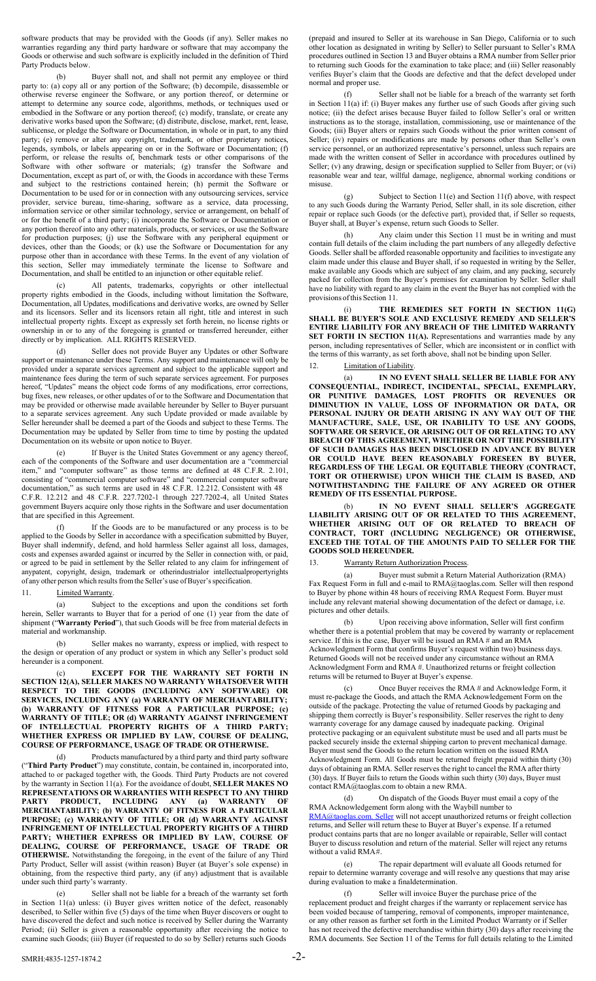software products that may be provided with the Goods (if any). Seller makes no warranties regarding any third party hardware or software that may accompany the Goods or otherwise and such software is explicitly included in the definition of Third Party Products below.

(b) Buyer shall not, and shall not permit any employee or third party to: (a) copy all or any portion of the Software; (b) decompile, disassemble or otherwise reverse engineer the Software, or any portion thereof, or determine or attempt to determine any source code, algorithms, methods, or techniques used or embodied in the Software or any portion thereof; (c) modify, translate, or create any derivative works based upon the Software; (d) distribute, disclose, market, rent, lease, sublicense, or pledge the Software or Documentation, in whole or in part, to any third party; (e) remove or alter any copyright, trademark, or other proprietary notices, legends, symbols, or labels appearing on or in the Software or Documentation; (f) perform, or release the results of, benchmark tests or other comparisons of the Software with other software or materials; (g) transfer the Software and Documentation, except as part of, or with, the Goods in accordance with these Terms and subject to the restrictions contained herein; (h) permit the Software or Documentation to be used for or in connection with any outsourcing services, service provider, service bureau, time-sharing, software as a service, data processing, information service or other similar technology, service or arrangement, on behalf of or for the benefit of a third party; (i) incorporate the Software or Documentation or any portion thereof into any other materials, products, or services, or use the Software for production purposes; (j) use the Software with any peripheral equipment or devices, other than the Goods; or (k) use the Software or Documentation for any purpose other than in accordance with these Terms. In the event of any violation of this section, Seller may immediately terminate the license to Software and Documentation, and shall be entitled to an injunction or other equitable relief.

(c) All patents, trademarks, copyrights or other intellectual property rights embodied in the Goods, including without limitation the Software, Documentation, all Updates, modifications and derivative works, are owned by Seller and its licensors. Seller and its licensors retain all right, title and interest in such intellectual property rights. Except as expressly set forth herein, no license rights or ownership in or to any of the foregoing is granted or transferred hereunder, either directly or by implication. ALL RIGHTS RESERVED.

(d) Seller does not provide Buyer any Updates or other Software support or maintenance under these Terms. Any support and maintenance will only be provided under a separate services agreement and subject to the applicable support and maintenance fees during the term of such separate services agreement. For purposes hereof, "Updates" means the object code forms of any modifications, error corrections, bug fixes, new releases, or other updates of or to the Software and Documentation that may be provided or otherwise made available hereunder by Seller to Buyer pursuant to a separate services agreement. Any such Update provided or made available by Seller hereunder shall be deemed a part of the Goods and subject to these Terms. The Documentation may be updated by Seller from time to time by posting the updated Documentation on its website or upon notice to Buyer.

(e) If Buyer is the United States Government or any agency thereof, each of the components of the Software and user documentation are a "commercial item," and "computer software" as those terms are defined at 48 C.F.R. 2.101, consisting of "commercial computer software" and "commercial computer software documentation," as such terms are used in 48 C.F.R. 12.212. Consistent with 48 C.F.R. 12.212 and 48 C.F.R. 227.7202-1 through 227.7202-4, all United States government Buyers acquire only those rights in the Software and user documentation that are specified in this Agreement.

(f) If the Goods are to be manufactured or any process is to be applied to the Goods by Seller in accordance with a specification submitted by Buyer, Buyer shall indemnify, defend, and hold harmless Seller against all loss, damages, costs and expenses awarded against or incurred by the Seller in connection with, or paid, or agreed to be paid in settlement by the Seller related to any claim for infringement of anypatent, copyright, design, trademark or otherindustrialor intellectualpropertyrights of any other person which results from the Seller's use of Buyer's specification.

11. **Limited Warranty.** 

(a) Subject to the exceptions and upon the conditions set forth herein, Seller warrants to Buyer that for a period of one (1) year from the date of shipment ("**Warranty Period**"), that such Goods will be free from material defects in material and workmanship.

(b) Seller makes no warranty, express or implied, with respect to the design or operation of any product or system in which any Seller's product sold hereunder is a component.

(c) **EXCEPT FOR THE WARRANTY SET FORTH IN SECTION 12(A), SELLER MAKES NO WARRANTY WHATSOEVER WITH RESPECT TO THE GOODS (INCLUDING ANY SOFTWARE) OR SERVICES, INCLUDING ANY (a) WARRANTY OF MERCHANTABILITY; (b) WARRANTY OF FITNESS FOR A PARTICULAR PURPOSE; (c) WARRANTY OF TITLE; OR (d) WARRANTY AGAINST INFRINGEMENT OF INTELLECTUAL PROPERTY RIGHTS OF A THIRD PARTY; WHETHER EXPRESS OR IMPLIED BY LAW, COURSE OF DEALING, COURSE OF PERFORMANCE, USAGE OF TRADE OR OTHERWISE.**

(d) Products manufactured by a third party and third party software ("**Third Party Product**") may constitute, contain, be contained in, incorporated into, attached to or packaged together with, the Goods. Third Party Products are not covered by the warranty in Section 11(a). For the avoidance of doubt, **SELLER MAKES NO REPRESENTATIONS OR WARRANTIES WITH RESPECT TO ANY THIRD PARTY PRODUCT, INCLUDING ANY (a) WARRANTY OF MERCHANTABILITY; (b) WARRANTY OF FITNESS FOR A PARTICULAR PURPOSE; (c) WARRANTY OF TITLE; OR (d) WARRANTY AGAINST INFRINGEMENT OF INTELLECTUAL PROPERTY RIGHTS OF A THIRD PARTY; WHETHER EXPRESS OR IMPLIED BY LAW, COURSE OF DEALING, COURSE OF PERFORMANCE, USAGE OF TRADE OR OTHERWISE.** Notwithstanding the foregoing, in the event of the failure of any Third Party Product, Seller will assist (within reason) Buyer (at Buyer's sole expense) in obtaining, from the respective third party, any (if any) adjustment that is available under such third party's warranty.

(e) Seller shall not be liable for a breach of the warranty set forth in Section  $11(a)$  unless: (i) Buyer gives written notice of the defect, reasonably described, to Seller within five (5) days of the time when Buyer discovers or ought to have discovered the defect and such notice is received by Seller during the Warranty Period; (ii) Seller is given a reasonable opportunity after receiving the notice to examine such Goods; (iii) Buyer (if requested to do so by Seller) returns such Goods

(prepaid and insured to Seller at its warehouse in San Diego, California or to such other location as designated in writing by Seller) to Seller pursuant to Seller's RMA procedures outlined in Section 13 and Buyer obtains a RMA number from Seller prior to returning such Goods for the examination to take place; and (iii) Seller reasonably verifies Buyer's claim that the Goods are defective and that the defect developed under normal and proper use.

(f) Seller shall not be liable for a breach of the warranty set forth in Section 11(a) if: (i) Buyer makes any further use of such Goods after giving such notice; (ii) the defect arises because Buyer failed to follow Seller's oral or written instructions as to the storage, installation, commissioning, use or maintenance of the Goods; (iii) Buyer alters or repairs such Goods without the prior written consent of Seller; (iv) repairs or modifications are made by persons other than Seller's own service personnel, or an authorized representative's personnel, unless such repairs are made with the written consent of Seller in accordance with procedures outlined by Seller; (v) any drawing, design or specification supplied to Seller from Buyer; or (vi) reasonable wear and tear, willful damage, negligence, abnormal working conditions or misuse.

(g) Subject to Section 11(e) and Section 11(f) above, with respect to any such Goods during the Warranty Period, Seller shall, in its sole discretion, either repair or replace such Goods (or the defective part), provided that, if Seller so requests, Buyer shall, at Buyer's expense, return such Goods to Seller.

(h) Any claim under this Section 11 must be in writing and must contain full details of the claim including the part numbers of any allegedly defective Goods. Seller shall be afforded reasonable opportunity and facilities to investigate any claim made under this clause and Buyer shall, if so requested in writing by the Seller, make available any Goods which are subject of any claim, and any packing, securely packed for collection from the Buyer's premises for examination by Seller. Seller shall have no liability with regard to any claim in the event the Buyer has not complied with the provisions ofthis Section 11.

(i) **THE REMEDIES SET FORTH IN SECTION 11(G) SHALL BE BUYER'S SOLE AND EXCLUSIVE REMEDY AND SELLER'S ENTIRE LIABILITY FOR ANY BREACH OF THE LIMITED WARRANTY** SET FORTH IN SECTION 11(A). Representations and warranties made by any person, including representatives of Seller, which are inconsistent or in conflict with the terms of this warranty, as set forth above, shall not be binding upon Seller.

#### 12. Limitation of Liability.

(a) **IN NO EVENT SHALL SELLER BE LIABLE FOR ANY CONSEQUENTIAL, INDIRECT, INCIDENTAL, SPECIAL, EXEMPLARY, OR PUNITIVE DAMAGES, LOST PROFITS OR REVENUES OR DIMINUTION IN VALUE, LOSS OF INFORMATION OR DATA, OR PERSONAL INJURY OR DEATH ARISING IN ANY WAY OUT OF THE MANUFACTURE, SALE, USE, OR INABILITY TO USE ANY GOODS, SOFTWARE OR SERVICE, OR ARISING OUT OF OR RELATING TO ANY BREACH OF THIS AGREEMENT, WHETHER OR NOT THE POSSIBILITY OF SUCH DAMAGES HAS BEEN DISCLOSED IN ADVANCE BY BUYER OR COULD HAVE BEEN REASONABLY FORESEEN BY BUYER, REGARDLESS OF THE LEGAL OR EQUITABLE THEORY (CONTRACT, TORT OR OTHERWISE) UPON WHICH THE CLAIM IS BASED, AND NOTWITHSTANDING THE FAILURE OF ANY AGREED OR OTHER REMEDY OF ITS ESSENTIAL PURPOSE.**

(b) **IN NO EVENT SHALL SELLER'S AGGREGATE LIABILITY ARISING OUT OF OR RELATED TO THIS AGREEMENT, WHETHER ARISING OUT OF OR RELATED TO BREACH OF CONTRACT, TORT (INCLUDING NEGLIGENCE) OR OTHERWISE, EXCEED THE TOTAL OF THE AMOUNTS PAID TO SELLER FOR THE GOODS SOLD HEREUNDER.**

## 13. Warranty Return Authorization Process.

(a) Buyer must submit a Return Material Authorization (RMA) Fax Request Form in full and e-mail t[o RMA@taoglas.com.](mailto:RMA@taoglas.com) Seller will then respond to Buyer by phone within 48 hours of receiving RMA Request Form. Buyer must include any relevant material showing documentation of the defect or damage, i.e. pictures and other details.

(b) Upon receiving above information, Seller will first confirm whether there is a potential problem that may be covered by warranty or replacement service. If this is the case, Buyer will be issued an RMA # and an RMA Acknowledgment Form that confirms Buyer's request within two) business days. Returned Goods will not be received under any circumstance without an RMA Acknowledgment Form and RMA #. Unauthorized returns or freight collection returns will be returned to Buyer at Buyer's expense.

(c) Once Buyer receives the RMA # and Acknowledge Form, it must re-package the Goods, and attach the RMA Acknowledgement Form on the outside of the package. Protecting the value of returned Goods by packaging and shipping them correctly is Buyer's responsibility. Seller reserves the right to deny warranty coverage for any damage caused by inadequate packing. Original protective packaging or an equivalent substitute must be used and all parts must be packed securely inside the external shipping carton to prevent mechanical damage. Buyer must send the Goods to the return location written on the issued RMA Acknowledgment Form. All Goods must be returned freight prepaid within thirty (30) days of obtaining an RMA. Seller reserves the right to cancel the RMA after thirty (30) days. If Buyer fails to return the Goods within such thirty (30) days, Buyer must contact [RMA@taoglas.com to](mailto:RMA@taoglas.com) obtain a new RMA.

(d) On dispatch of the Goods Buyer must email a copy of the RMA Acknowledgement form along with the Waybill number to [RMA@taoglas.com.](mailto:RMA@taoglas.com.Seller) Seller will not accept unauthorized returns or freight collection returns, and Seller will return these to Buyer at Buyer's expense. If a returned product contains parts that are no longer available or repairable, Seller will contact Buyer to discuss resolution and return of the material. Seller will reject any returns without a valid RMA#.

(e) The repair department will evaluate all Goods returned for repair to determine warranty coverage and will resolve any questions that may arise during evaluation to make a finaldetermination.

(f) Seller will invoice Buyer the purchase price of the replacement product and freight charges if the warranty or replacement service has been voided because of tampering, removal of components, improper maintenance, or any other reason as further set forth in the Limited Product Warranty or if Seller has not received the defective merchandise within thirty (30) days after receiving the RMA documents. See Section 11 of the Terms for full details relating to the Limited